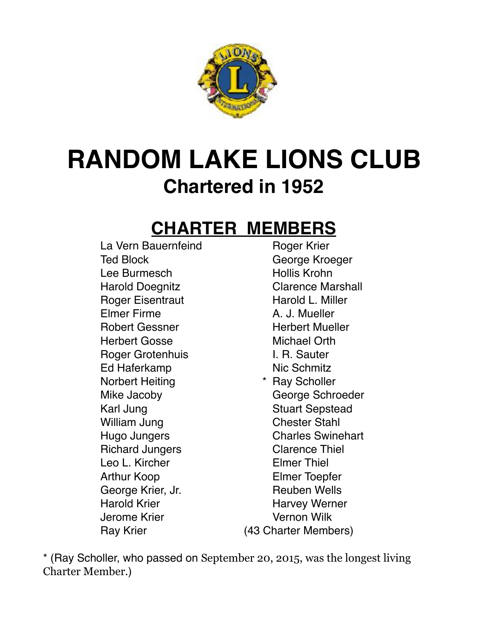

# **RANDOM LAKE LIONS CLUB Chartered in 1952**

#### **CHARTER MEMBERS**

La Vern Bauernfeind **Roger Krier** Ted Block George Kroeger Lee Burmesch Manuel Hollis Krohn Harold Doegnitz Clarence Marshall Roger Eisentraut Harold L. Miller Elmer Firme A. J. Mueller Robert Gessner **Herbert Mueller** Herbert Gosse Michael Orth Roger Grotenhuis **I. R. Sauter** Ed Haferkamp Nic Schmitz Norbert Heiting **\*** Ray Scholler Mike Jacoby George Schroeder Karl Jung Stuart Sepstead William Jung **Chester Stahl** Hugo Jungers Charles Swinehart Richard Jungers **Clarence Thiel** Leo L. Kircher **Elmer Thiel** Arthur Koop Elmer Toepfer George Krier, Jr. **Reuben Wells** Harold Krier **Harvey Werner** Harvey Werner Jerome Krier Vernon Wilk

Ray Krier (43 Charter Members)

\* (Ray Scholler, who passed on September 20, 2015, was the longest living Charter Member.)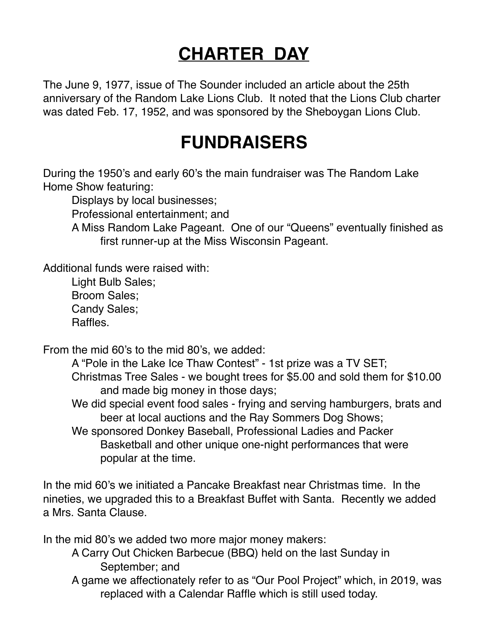# **CHARTER DAY**

The June 9, 1977, issue of The Sounder included an article about the 25th anniversary of the Random Lake Lions Club. It noted that the Lions Club charter was dated Feb. 17, 1952, and was sponsored by the Sheboygan Lions Club.

## **FUNDRAISERS**

During the 1950's and early 60's the main fundraiser was The Random Lake Home Show featuring:

Displays by local businesses;

Professional entertainment; and

A Miss Random Lake Pageant. One of our "Queens" eventually finished as first runner-up at the Miss Wisconsin Pageant.

Additional funds were raised with:

Light Bulb Sales; Broom Sales; Candy Sales; **Raffles** 

From the mid 60's to the mid 80's, we added:

 A "Pole in the Lake Ice Thaw Contest" - 1st prize was a TV SET; Christmas Tree Sales - we bought trees for \$5.00 and sold them for \$10.00 and made big money in those days;

We did special event food sales - frying and serving hamburgers, brats and beer at local auctions and the Ray Sommers Dog Shows;

We sponsored Donkey Baseball, Professional Ladies and Packer Basketball and other unique one-night performances that were popular at the time.

In the mid 60's we initiated a Pancake Breakfast near Christmas time. In the nineties, we upgraded this to a Breakfast Buffet with Santa. Recently we added a Mrs. Santa Clause.

In the mid 80's we added two more major money makers:

A Carry Out Chicken Barbecue (BBQ) held on the last Sunday in September; and

A game we affectionately refer to as "Our Pool Project" which, in 2019, was replaced with a Calendar Raffle which is still used today.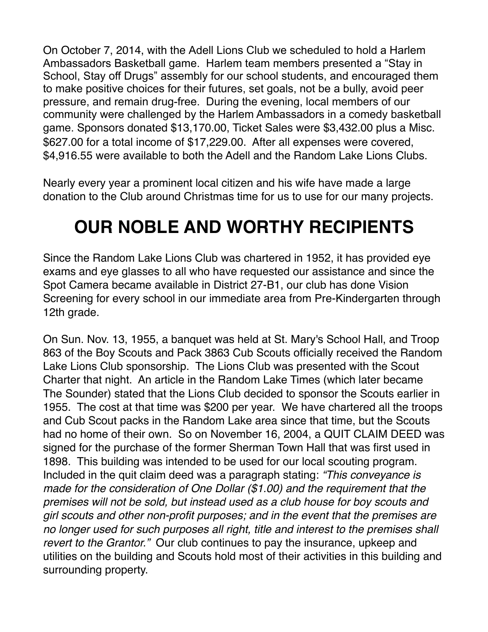On October 7, 2014, with the Adell Lions Club we scheduled to hold a Harlem Ambassadors Basketball game. Harlem team members presented a "Stay in School, Stay off Drugs" assembly for our school students, and encouraged them to make positive choices for their futures, set goals, not be a bully, avoid peer pressure, and remain drug-free. During the evening, local members of our community were challenged by the Harlem Ambassadors in a comedy basketball game. Sponsors donated \$13,170.00, Ticket Sales were \$3,432.00 plus a Misc. \$627.00 for a total income of \$17,229.00. After all expenses were covered, \$4,916.55 were available to both the Adell and the Random Lake Lions Clubs.

Nearly every year a prominent local citizen and his wife have made a large donation to the Club around Christmas time for us to use for our many projects.

# **OUR NOBLE AND WORTHY RECIPIENTS**

Since the Random Lake Lions Club was chartered in 1952, it has provided eye exams and eye glasses to all who have requested our assistance and since the Spot Camera became available in District 27-B1, our club has done Vision Screening for every school in our immediate area from Pre-Kindergarten through 12th grade.

On Sun. Nov. 13, 1955, a banquet was held at St. Mary's School Hall, and Troop 863 of the Boy Scouts and Pack 3863 Cub Scouts officially received the Random Lake Lions Club sponsorship. The Lions Club was presented with the Scout Charter that night. An article in the Random Lake Times (which later became The Sounder) stated that the Lions Club decided to sponsor the Scouts earlier in 1955. The cost at that time was \$200 per year. We have chartered all the troops and Cub Scout packs in the Random Lake area since that time, but the Scouts had no home of their own. So on November 16, 2004, a QUIT CLAIM DEED was signed for the purchase of the former Sherman Town Hall that was first used in 1898. This building was intended to be used for our local scouting program. Included in the quit claim deed was a paragraph stating: *"This conveyance is made for the consideration of One Dollar (\$1.00) and the requirement that the premises will not be sold, but instead used as a club house for boy scouts and girl scouts and other non-profit purposes; and in the event that the premises are no longer used for such purposes all right, title and interest to the premises shall revert to the Grantor."* Our club continues to pay the insurance, upkeep and utilities on the building and Scouts hold most of their activities in this building and surrounding property.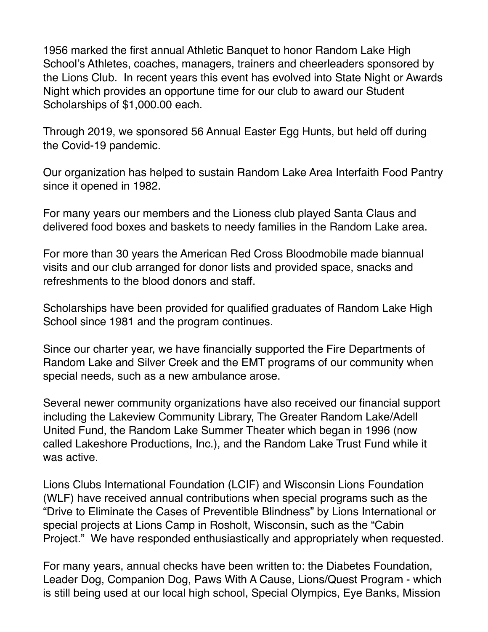1956 marked the first annual Athletic Banquet to honor Random Lake High School's Athletes, coaches, managers, trainers and cheerleaders sponsored by the Lions Club. In recent years this event has evolved into State Night or Awards Night which provides an opportune time for our club to award our Student Scholarships of \$1,000.00 each.

Through 2019, we sponsored 56 Annual Easter Egg Hunts, but held off during the Covid-19 pandemic.

Our organization has helped to sustain Random Lake Area Interfaith Food Pantry since it opened in 1982.

For many years our members and the Lioness club played Santa Claus and delivered food boxes and baskets to needy families in the Random Lake area.

For more than 30 years the American Red Cross Bloodmobile made biannual visits and our club arranged for donor lists and provided space, snacks and refreshments to the blood donors and staff.

Scholarships have been provided for qualified graduates of Random Lake High School since 1981 and the program continues.

Since our charter year, we have financially supported the Fire Departments of Random Lake and Silver Creek and the EMT programs of our community when special needs, such as a new ambulance arose.

Several newer community organizations have also received our financial support including the Lakeview Community Library, The Greater Random Lake/Adell United Fund, the Random Lake Summer Theater which began in 1996 (now called Lakeshore Productions, Inc.), and the Random Lake Trust Fund while it was active.

Lions Clubs International Foundation (LCIF) and Wisconsin Lions Foundation (WLF) have received annual contributions when special programs such as the "Drive to Eliminate the Cases of Preventible Blindness" by Lions International or special projects at Lions Camp in Rosholt, Wisconsin, such as the "Cabin Project." We have responded enthusiastically and appropriately when requested.

For many years, annual checks have been written to: the Diabetes Foundation, Leader Dog, Companion Dog, Paws With A Cause, Lions/Quest Program - which is still being used at our local high school, Special Olympics, Eye Banks, Mission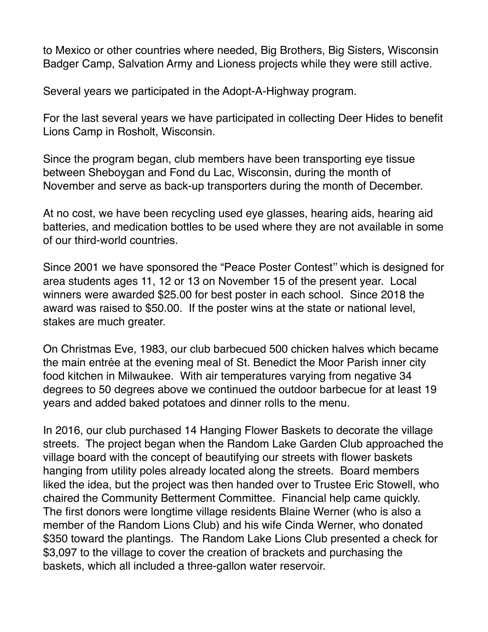to Mexico or other countries where needed, Big Brothers, Big Sisters, Wisconsin Badger Camp, Salvation Army and Lioness projects while they were still active.

Several years we participated in the Adopt-A-Highway program.

For the last several years we have participated in collecting Deer Hides to benefit Lions Camp in Rosholt, Wisconsin.

Since the program began, club members have been transporting eye tissue between Sheboygan and Fond du Lac, Wisconsin, during the month of November and serve as back-up transporters during the month of December.

At no cost, we have been recycling used eye glasses, hearing aids, hearing aid batteries, and medication bottles to be used where they are not available in some of our third-world countries.

Since 2001 we have sponsored the "Peace Poster Contest'' which is designed for area students ages 11, 12 or 13 on November 15 of the present year. Local winners were awarded \$25.00 for best poster in each school. Since 2018 the award was raised to \$50.00. If the poster wins at the state or national level, stakes are much greater.

On Christmas Eve, 1983, our club barbecued 500 chicken halves which became the main entrée at the evening meal of St. Benedict the Moor Parish inner city food kitchen in Milwaukee. With air temperatures varying from negative 34 degrees to 50 degrees above we continued the outdoor barbecue for at least 19 years and added baked potatoes and dinner rolls to the menu.

In 2016, our club purchased 14 Hanging Flower Baskets to decorate the village streets. The project began when the Random Lake Garden Club approached the village board with the concept of beautifying our streets with flower baskets hanging from utility poles already located along the streets. Board members liked the idea, but the project was then handed over to Trustee Eric Stowell, who chaired the Community Betterment Committee. Financial help came quickly. The first donors were longtime village residents Blaine Werner (who is also a member of the Random Lions Club) and his wife Cinda Werner, who donated \$350 toward the plantings. The Random Lake Lions Club presented a check for \$3,097 to the village to cover the creation of brackets and purchasing the baskets, which all included a three-gallon water reservoir.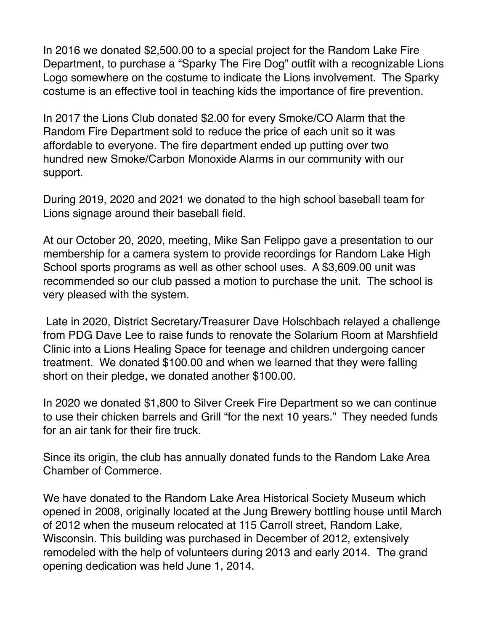In 2016 we donated \$2,500.00 to a special project for the Random Lake Fire Department, to purchase a "Sparky The Fire Dog" outfit with a recognizable Lions Logo somewhere on the costume to indicate the Lions involvement. The Sparky costume is an effective tool in teaching kids the importance of fire prevention.

In 2017 the Lions Club donated \$2.00 for every Smoke/CO Alarm that the Random Fire Department sold to reduce the price of each unit so it was affordable to everyone. The fire department ended up putting over two hundred new Smoke/Carbon Monoxide Alarms in our community with our support.

During 2019, 2020 and 2021 we donated to the high school baseball team for Lions signage around their baseball field.

At our October 20, 2020, meeting, Mike San Felippo gave a presentation to our membership for a camera system to provide recordings for Random Lake High School sports programs as well as other school uses. A \$3,609.00 unit was recommended so our club passed a motion to purchase the unit. The school is very pleased with the system.

 Late in 2020, District Secretary/Treasurer Dave Holschbach relayed a challenge from PDG Dave Lee to raise funds to renovate the Solarium Room at Marshfield Clinic into a Lions Healing Space for teenage and children undergoing cancer treatment. We donated \$100.00 and when we learned that they were falling short on their pledge, we donated another \$100.00.

In 2020 we donated \$1,800 to Silver Creek Fire Department so we can continue to use their chicken barrels and Grill "for the next 10 years." They needed funds for an air tank for their fire truck.

Since its origin, the club has annually donated funds to the Random Lake Area Chamber of Commerce.

We have donated to the Random Lake Area Historical Society Museum which opened in 2008, originally located at the Jung Brewery bottling house until March of 2012 when the museum relocated at 115 Carroll street, Random Lake, Wisconsin. This building was purchased in December of 2012, extensively remodeled with the help of volunteers during 2013 and early 2014. The grand opening dedication was held June 1, 2014.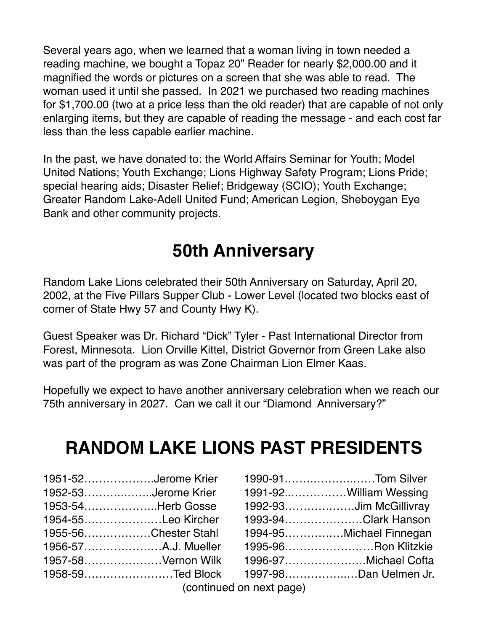Several years ago, when we learned that a woman living in town needed a reading machine, we bought a Topaz 20" Reader for nearly \$2,000.00 and it magnified the words or pictures on a screen that she was able to read. The woman used it until she passed. In 2021 we purchased two reading machines for \$1,700.00 (two at a price less than the old reader) that are capable of not only enlarging items, but they are capable of reading the message - and each cost far less than the less capable earlier machine.

In the past, we have donated to: the World Affairs Seminar for Youth; Model United Nations; Youth Exchange; Lions Highway Safety Program; Lions Pride; special hearing aids; Disaster Relief; Bridgeway (SCIO); Youth Exchange; Greater Random Lake-Adell United Fund; American Legion, Sheboygan Eye Bank and other community projects.

# **50th Anniversary**

Random Lake Lions celebrated their 50th Anniversary on Saturday, April 20, 2002, at the Five Pillars Supper Club - Lower Level (located two blocks east of corner of State Hwy 57 and County Hwy K).

Guest Speaker was Dr. Richard "Dick" Tyler - Past International Director from Forest, Minnesota. Lion Orville Kittel, District Governor from Green Lake also was part of the program as was Zone Chairman Lion Elmer Kaas.

Hopefully we expect to have another anniversary celebration when we reach our 75th anniversary in 2027. Can we call it our "Diamond Anniversary?"

## **RANDOM LAKE LIONS PAST PRESIDENTS**

| 1951-52Jerome Krier  |
|----------------------|
| 1952-53Jerome Krier  |
| 1953-54Herb Gosse    |
| 1954-55Leo Kircher   |
| 1955-56Chester Stahl |
|                      |
| 1957-58Vernon Wilk   |
| 1958-59Ted Block     |
|                      |

| 1951-52Jerome Krier                                                                                                                                                                                                                | 1990-91Tom Silver                      |
|------------------------------------------------------------------------------------------------------------------------------------------------------------------------------------------------------------------------------------|----------------------------------------|
| 1952-53Jerome Krier                                                                                                                                                                                                                | 1991-92William Wessing                 |
| 1953-54Herb Gosse                                                                                                                                                                                                                  | 1992-93Jim McGillivray                 |
| 1954-55Leo Kircher                                                                                                                                                                                                                 | 1993-94Clark Hanson                    |
| 1955-56Chester Stahl                                                                                                                                                                                                               | 1994-95Michael Finnegan                |
|                                                                                                                                                                                                                                    | 1995-96Ron Klitzkie                    |
| 1957-58Vernon Wilk                                                                                                                                                                                                                 | 1996-97Michael Cofta                   |
|                                                                                                                                                                                                                                    | 1958-59Ted Block 1997-98Dan Uelmen Jr. |
| $\mathcal{L}$ is a set of the set of the set of the set of the set of the set of the set of the set of the set of the set of the set of the set of the set of the set of the set of the set of the set of the set of the set of th |                                        |

(continued on next page)